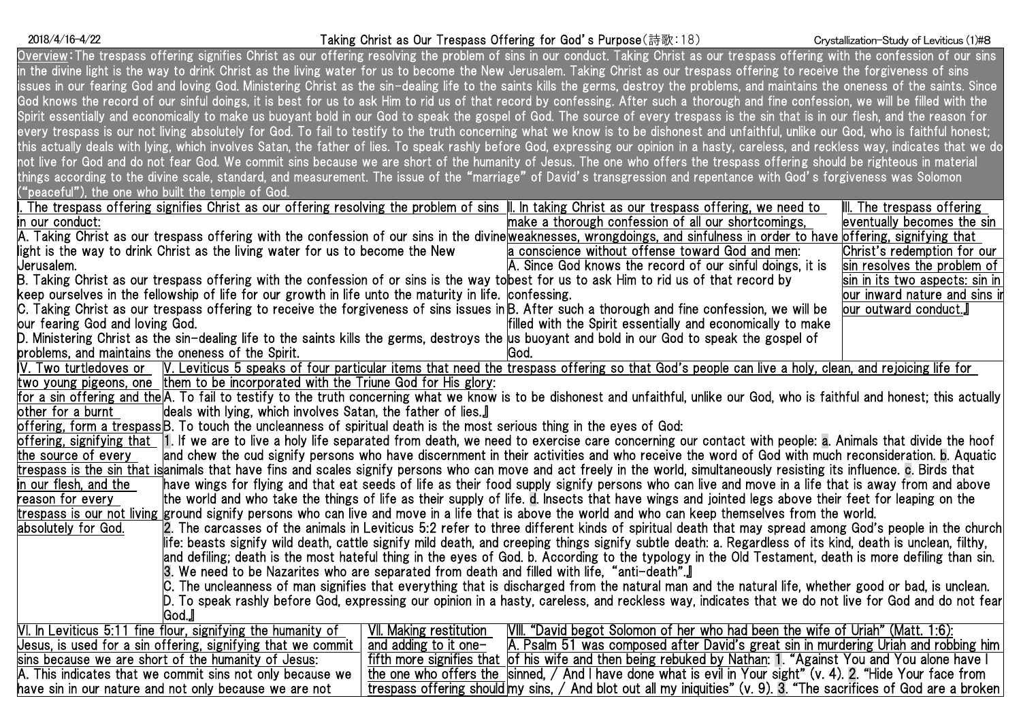# Taking Christ as Our Trespass Offering for God's Purpose(詩歌:18) 2018/4/16-4/22 Crystallization-Study of Leviticus (1)#8

| Overview: The trespass offering signifies Christ as our offering resolving the problem of sins in our conduct. Taking Christ as our trespass offering with the confession of our sins     |                         |                                                                                                                    |                                     |  |
|-------------------------------------------------------------------------------------------------------------------------------------------------------------------------------------------|-------------------------|--------------------------------------------------------------------------------------------------------------------|-------------------------------------|--|
| in the divine light is the way to drink Christ as the living water for us to become the New Jerusalem. Taking Christ as our trespass offering to receive the forgiveness of sins          |                         |                                                                                                                    |                                     |  |
| issues in our fearing God and loving God. Ministering Christ as the sin-dealing life to the saints kills the germs, destroy the problems, and maintains the oneness of the saints. Since  |                         |                                                                                                                    |                                     |  |
| God knows the record of our sinful doings, it is best for us to ask Him to rid us of that record by confessing. After such a thorough and fine confession, we will be filled with the     |                         |                                                                                                                    |                                     |  |
| Spirit essentially and economically to make us buoyant bold in our God to speak the gospel of God. The source of every trespass is the sin that is in our flesh, and the reason for       |                         |                                                                                                                    |                                     |  |
| every trespass is our not living absolutely for God. To fail to testify to the truth concerning what we know is to be dishonest and unfaithful, unlike our God, who is faithful honest;   |                         |                                                                                                                    |                                     |  |
| this actually deals with lying, which involves Satan, the father of lies. To speak rashly before God, expressing our opinion in a hasty, careless, and reckless way, indicates that we do |                         |                                                                                                                    |                                     |  |
| not live for God and do not fear God. We commit sins because we are short of the humanity of Jesus. The one who offers the trespass offering should be righteous in material              |                         |                                                                                                                    |                                     |  |
| things according to the divine scale, standard, and measurement. The issue of the "marriage" of David's transgression and repentance with God's forgiveness was Solomon                   |                         |                                                                                                                    |                                     |  |
| "peaceful"), the one who built the temple of God.                                                                                                                                         |                         |                                                                                                                    |                                     |  |
| . The trespass offering signifies Christ as our offering resolving the problem of sins $\parallel$ l. In taking Christ as our trespass offering, we need to                               |                         |                                                                                                                    | $\parallel$ . The trespass offering |  |
| in our conduct:                                                                                                                                                                           |                         | make a thorough confession of all our shortcomings,                                                                | eventually becomes the sin          |  |
| A. Taking Christ as our trespass offering with the confession of our sins in the divine weaknesses, wrongdoings, and sinfulness in order to have offering, signifying that                |                         |                                                                                                                    |                                     |  |
| light is the way to drink Christ as the living water for us to become the New                                                                                                             |                         | a conscience without offense toward God and men:                                                                   | Christ's redemption for our         |  |
| Jerusalem.                                                                                                                                                                                |                         | A. Since God knows the record of our sinful doings, it is                                                          | sin resolves the problem of         |  |
| B. Taking Christ as our trespass offering with the confession of or sins is the way to <b>best for us to ask Him to rid us of that</b> record by                                          |                         |                                                                                                                    | sin in its two aspects: sin in      |  |
| keep ourselves in the fellowship of life for our growth in life unto the maturity in life. confessing,                                                                                    |                         |                                                                                                                    | our inward nature and sins ii       |  |
| C. Taking Christ as our trespass offering to receive the forgiveness of sins issues inβ. After such a thorough and fine confession, we will be                                            |                         |                                                                                                                    | our outward conduct.』               |  |
| our fearing God and loving God.                                                                                                                                                           |                         | filled with the Spirit essentially and economically to make                                                        |                                     |  |
| D. Ministering Christ as the sin-dealing life to the saints kills the germs, destroys the us buoyant and bold in our God to speak the gospel of                                           |                         |                                                                                                                    |                                     |  |
| problems, and maintains the oneness of the Spirit.                                                                                                                                        |                         | lGod.                                                                                                              |                                     |  |
| IV. Two turtledoves or W. Leviticus 5 speaks of four particular items that need the trespass offering so that God's people can live a holy, clean, and rejoicing life for                 |                         |                                                                                                                    |                                     |  |
| two young pigeons, one them to be incorporated with the Triune God for His glory:                                                                                                         |                         |                                                                                                                    |                                     |  |
| for a sin offering and the A. To fail to testify to the truth concerning what we know is to be dishonest and unfaithful, unlike our God, who is faithful and honest; this actually        |                         |                                                                                                                    |                                     |  |
| deals with lying, which involves Satan, the father of lies.<br>other for a burnt                                                                                                          |                         |                                                                                                                    |                                     |  |
| offering, form a trespassB. To touch the uncleanness of spiritual death is the most serious thing in the eyes of God:                                                                     |                         |                                                                                                                    |                                     |  |
| offering, signifying that [1. If we are to live a holy life separated from death, we need to exercise care concerning our contact with people: a. Animals that divide the hoof            |                         |                                                                                                                    |                                     |  |
| and chew the cud signify persons who have discernment in their activities and who receive the word of God with much reconsideration. b. Aquatic<br>the source of every                    |                         |                                                                                                                    |                                     |  |
| trespass is the sin that isanimals that have fins and scales signify persons who can move and act freely in the world, simultaneously resisting its influence. c. Birds that              |                         |                                                                                                                    |                                     |  |
| in our flesh, and the<br>have wings for flying and that eat seeds of life as their food supply signify persons who can live and move in a life that is away from and above                |                         |                                                                                                                    |                                     |  |
| reason for every<br>the world and who take the things of life as their supply of life. d. Insects that have wings and jointed legs above their feet for leaping on the                    |                         |                                                                                                                    |                                     |  |
| trespass is our not living ground signify persons who can live and move in a life that is above the world and who can keep themselves from the world.                                     |                         |                                                                                                                    |                                     |  |
| absolutely for God.<br>2. The carcasses of the animals in Leviticus 5:2 refer to three different kinds of spiritual death that may spread among God's people in the churchl               |                         |                                                                                                                    |                                     |  |
| life: beasts signify wild death, cattle signify mild death, and creeping things signify subtle death: a. Regardless of its kind, death is unclean, filthy,                                |                         |                                                                                                                    |                                     |  |
| and defiling; death is the most hateful thing in the eyes of God. b. According to the typology in the Old Testament, death is more defiling than sin.                                     |                         |                                                                                                                    |                                     |  |
| [3. We need to be Nazarites who are separated from death and filled with life, "anti-death". [                                                                                            |                         |                                                                                                                    |                                     |  |
| C. The uncleanness of man signifies that everything that is discharged from the natural man and the natural life, whether good or bad, is unclean.                                        |                         |                                                                                                                    |                                     |  |
| D. To speak rashly before God, expressing our opinion in a hasty, careless, and reckless way, indicates that we do not live for God and do not fear                                       |                         |                                                                                                                    |                                     |  |
| God.』                                                                                                                                                                                     |                         |                                                                                                                    |                                     |  |
| VI. In Leviticus 5:11 fine flour, signifying the humanity of                                                                                                                              | VII. Making restitution | [VIII. "David begot Solomon of her who had been the wife of Uriah" (Matt. 1:6):                                    |                                     |  |
| Jesus, is used for a sin offering, signifying that we commit                                                                                                                              | and adding to it one-   | A. Psalm 51 was composed after David's great sin in murdering Uriah and robbing him                                |                                     |  |
| fifth more signifies that of his wife and then being rebuked by Nathan: 1. "Against You and You alone have I<br>sins because we are short of the humanity of Jesus:                       |                         |                                                                                                                    |                                     |  |
| the one who offers the sinned, $/$ And I have done what is evil in Your sight" (v. 4). 2. "Hide Your face from<br>A. This indicates that we commit sins not only because we               |                         |                                                                                                                    |                                     |  |
| have sin in our nature and not only because we are not                                                                                                                                    |                         | trespass offering should my sins, / And blot out all my iniquities" (v. 9). 3. "The sacrifices of God are a broken |                                     |  |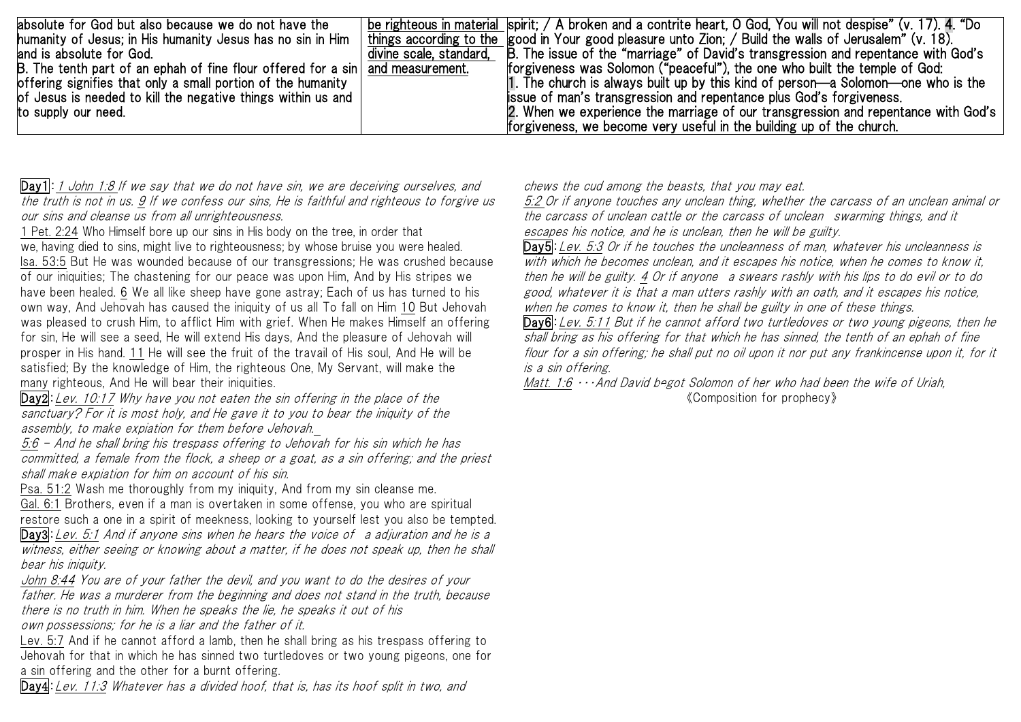| absolute for God but also because we do not have the<br>humanity of Jesus; in His humanity Jesus has no sin in Him<br>land is absolute for God.<br>B. The tenth part of an ephah of fine flour offered for a $sin$ and measurement.<br>offering signifies that only a small portion of the humanity<br>of Jesus is needed to kill the negative things within us and<br>to supply our need. | be righteous in material spirit; / A broken and a contrite heart, O God, You will not despise" (v. 17). 4. "Do<br>things according to the good in Your good pleasure unto Zion; / Build the walls of Jerusalem" (v. 18).<br>divine scale, standard, B. The issue of the "marriage" of David's transgression and repentance with God's<br>forgiveness was Solomon ("peaceful"), the one who built the temple of God:<br>1. The church is always built up by this kind of person—a Solomon—one who is the<br>lissue of man's transgression and repentance plus God's forgiveness.<br>2. When we experience the marriage of our transgression and repentance with God's |
|--------------------------------------------------------------------------------------------------------------------------------------------------------------------------------------------------------------------------------------------------------------------------------------------------------------------------------------------------------------------------------------------|----------------------------------------------------------------------------------------------------------------------------------------------------------------------------------------------------------------------------------------------------------------------------------------------------------------------------------------------------------------------------------------------------------------------------------------------------------------------------------------------------------------------------------------------------------------------------------------------------------------------------------------------------------------------|
|                                                                                                                                                                                                                                                                                                                                                                                            | forgiveness, we become very useful in the building up of the church.                                                                                                                                                                                                                                                                                                                                                                                                                                                                                                                                                                                                 |

Day1: 1 John 1:8 If we say that we do not have sin, we are deceiving ourselves, and the truth is not in us. 9 If we confess our sins, He is faithful and righteous to forgive us our sins and cleanse us from all unrighteousness.

1 Pet. 2:24 Who Himself bore up our sins in His body on the tree, in order that we, having died to sins, might live to righteousness; by whose bruise you were healed. Isa. 53:5 But He was wounded because of our transgressions; He was crushed because of our iniquities; The chastening for our peace was upon Him, And by His stripes we have been healed. 6 We all like sheep have gone astray; Each of us has turned to his own way, And Jehovah has caused the iniquity of us all To fall on Him 10 But Jehovah was pleased to crush Him, to afflict Him with grief. When He makes Himself an offering for sin, He will see a seed, He will extend His days, And the pleasure of Jehovah will prosper in His hand. 11 He will see the fruit of the travail of His soul, And He will be satisfied; By the knowledge of Him, the righteous One, My Servant, will make the many righteous, And He will bear their iniquities.

Day2:Lev. 10:17 Why have you not eaten the sin offering in the place of the sanctuary? For it is most holy, and He gave it to you to bear the iniquity of the assembly, to make expiation for them before Jehovah.

5:6 - And he shall bring his trespass offering to Jehovah for his sin which he has committed, a female from the flock, a sheep or a goat, as a sin offering; and the priest shall make expiation for him on account of his sin.

Psa. 51:2 Wash me thoroughly from my iniquity, And from my sin cleanse me.

Gal. 6:1 Brothers, even if a man is overtaken in some offense, you who are spiritual restore such a one in a spirit of meekness, looking to yourself lest you also be tempted.

Day3: Lev. 5:1 And if anyone sins when he hears the voice of a adjuration and he is a witness, either seeing or knowing about a matter, if he does not speak up, then he shall bear his injquity.

John 8:44 You are of your father the devil, and you want to do the desires of your father. He was a murderer from the beginning and does not stand in the truth, because there is no truth in him. When he speaks the lie, he speaks it out of his own possessions; for he is a liar and the father of it.

Lev. 5:7 And if he cannot afford a lamb, then he shall bring as his trespass offering to Jehovah for that in which he has sinned two turtledoves or two young pigeons, one for a sin offering and the other for a burnt offering.

Day4:Lev. 11:3 Whatever has a divided hoof, that is, has its hoof split in two, and

chews the cud among the beasts, that you may eat.

5:2 Or if anyone touches any unclean thing, whether the carcass of an unclean animal or the carcass of unclean cattle or the carcass of unclean swarming things, and it escapes his notice, and he is unclean, then he will be guilty.

Day5: Lev. 5:3 Or if he touches the uncleanness of man. whatever his uncleanness is with which he becomes unclean, and it escapes his notice, when he comes to know it, then he will be guilty. 4 Or if anyone a swears rashly with his lips to do evil or to do good, whatever it is that a man utters rashly with an oath, and it escapes his notice, when he comes to know it, then he shall be guilty in one of these things.

Day6: Lev. 5:11 But if he cannot afford two turtledoves or two young pigeons, then he shall bring as his offering for that which he has sinned, the tenth of an ephah of fine flour for a sin offering; he shall put no oil upon it nor put any frankincense upon it, for it is a sin offering.

Matt. 1:6 ・・・And David begot Solomon of her who had been the wife of Uriah, 《Composition for prophecy》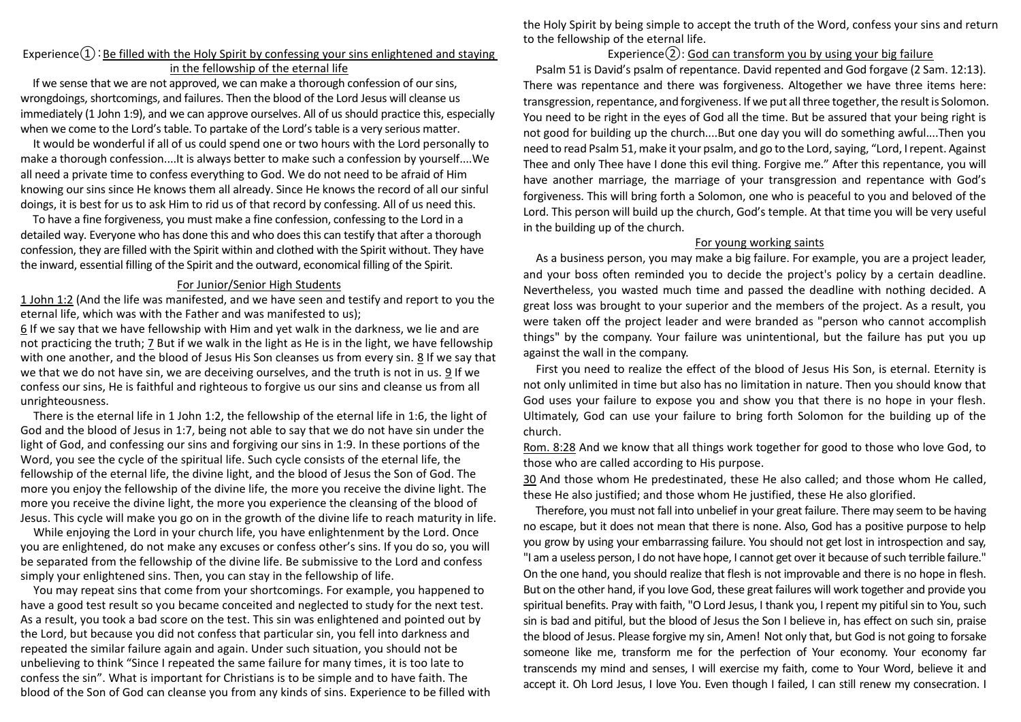### Experience $\Omega$ : Be filled with the Holy Spirit by confessing your sins enlightened and staying in the fellowship of the eternal life

If we sense that we are not approved, we can make a thorough confession of our sins, wrongdoings, shortcomings, and failures. Then the blood of the Lord Jesus will cleanse us immediately (1 John 1:9), and we can approve ourselves. All of us should practice this, especially when we come to the Lord's table. To partake of the Lord's table is a very serious matter.

It would be wonderful if all of us could spend one or two hours with the Lord personally to make a thorough confession....It is always better to make such a confession by yourself....We all need a private time to confess everything to God. We do not need to be afraid of Him knowing our sins since He knows them all already. Since He knows the record of all our sinful doings, it is best for us to ask Him to rid us of that record by confessing. All of us need this.

To have a fine forgiveness, you must make a fine confession, confessing to the Lord in a detailed way. Everyone who has done this and who does this can testify that after a thorough confession, they are filled with the Spirit within and clothed with the Spirit without. They have the inward, essential filling of the Spirit and the outward, economical filling of the Spirit.

#### For Junior/Senior High Students

1 John 1:2 (And the life was manifested, and we have seen and testify and report to you the eternal life, which was with the Father and was manifested to us);

6 If we say that we have fellowship with Him and yet walk in the darkness, we lie and are not practicing the truth; 7 But if we walk in the light as He is in the light, we have fellowship with one another, and the blood of Jesus His Son cleanses us from every sin. 8 If we say that we that we do not have sin, we are deceiving ourselves, and the truth is not in us. 9 If we confess our sins, He is faithful and righteous to forgive us our sins and cleanse us from all unrighteousness.

There is the eternal life in 1 John 1:2, the fellowship of the eternal life in 1:6, the light of God and the blood of Jesus in 1:7, being not able to say that we do not have sin under the light of God, and confessing our sins and forgiving our sins in 1:9. In these portions of the Word, you see the cycle of the spiritual life. Such cycle consists of the eternal life, the fellowship of the eternal life, the divine light, and the blood of Jesus the Son of God. The more you enjoy the fellowship of the divine life, the more you receive the divine light. The more you receive the divine light, the more you experience the cleansing of the blood of Jesus. This cycle will make you go on in the growth of the divine life to reach maturity in life.

While enjoying the Lord in your church life, you have enlightenment by the Lord. Once you are enlightened, do not make any excuses or confess other's sins. If you do so, you will be separated from the fellowship of the divine life. Be submissive to the Lord and confess simply your enlightened sins. Then, you can stay in the fellowship of life.

 You may repeat sins that come from your shortcomings. For example, you happened to have a good test result so you became conceited and neglected to study for the next test. As a result, you took a bad score on the test. This sin was enlightened and pointed out by the Lord, but because you did not confess that particular sin, you fell into darkness and repeated the similar failure again and again. Under such situation, you should not be unbelieving to think "Since I repeated the same failure for many times, it is too late to confess the sin". What is important for Christians is to be simple and to have faith. The blood of the Son of God can cleanse you from any kinds of sins. Experience to be filled with the Holy Spirit by being simple to accept the truth of the Word, confess your sins and return to the fellowship of the eternal life.

## Experience $(2)$ : God can transform you by using your big failure

Psalm 51 is David's psalm of repentance. David repented and God forgave (2 Sam. 12:13). There was repentance and there was forgiveness. Altogether we have three items here: transgression, repentance, and forgiveness. If we put all three together, the result is Solomon. You need to be right in the eyes of God all the time. But be assured that your being right is not good for building up the church....But one day you will do something awful....Then you need to read Psalm 51, make it your psalm, and go to the Lord, saying, "Lord, I repent. Against Thee and only Thee have I done this evil thing. Forgive me." After this repentance, you will have another marriage, the marriage of your transgression and repentance with God's forgiveness. This will bring forth a Solomon, one who is peaceful to you and beloved of the Lord. This person will build up the church, God's temple. At that time you will be very useful in the building up of the church.

#### For young working saints

As a business person, you may make a big failure. For example, you are a project leader, and your boss often reminded you to decide the project's policy by a certain deadline. Nevertheless, you wasted much time and passed the deadline with nothing decided. A great loss was brought to your superior and the members of the project. As a result, you were taken off the project leader and were branded as "person who cannot accomplish things" by the company. Your failure was unintentional, but the failure has put you up against the wall in the company.

First you need to realize the effect of the blood of Jesus His Son, is eternal. Eternity is not only unlimited in time but also has no limitation in nature. Then you should know that God uses your failure to expose you and show you that there is no hope in your flesh. Ultimately, God can use your failure to bring forth Solomon for the building up of the church.

Rom. 8:28 And we know that all things work together for good to those who love God, to those who are called according to His purpose.

30 And those whom He predestinated, these He also called; and those whom He called, these He also justified; and those whom He justified, these He also glorified.

Therefore, you must not fall into unbelief in your great failure. There may seem to be having no escape, but it does not mean that there is none. Also, God has a positive purpose to help you grow by using your embarrassing failure. You should not get lost in introspection and say, "I am a useless person, I do not have hope, I cannot get over it because ofsuch terrible failure." On the one hand, you should realize that flesh is not improvable and there is no hope in flesh. But on the other hand, if you love God, these great failures will work together and provide you spiritual benefits. Pray with faith, "O Lord Jesus, I thank you, I repent my pitiful sin to You, such sin is bad and pitiful, but the blood of Jesus the Son I believe in, has effect on such sin, praise the blood of Jesus. Please forgive my sin, Amen! Not only that, but God is not going to forsake someone like me, transform me for the perfection of Your economy. Your economy far transcends my mind and senses, I will exercise my faith, come to Your Word, believe it and accept it. Oh Lord Jesus, I love You. Even though I failed, I can still renew my consecration. I